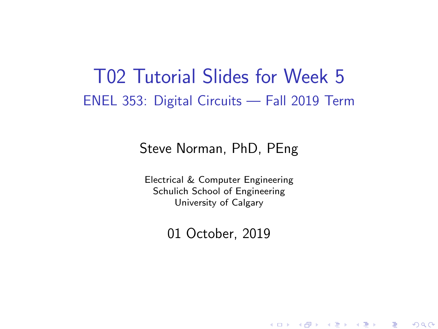### T02 Tutorial Slides for Week 5 ENEL 353: Digital Circuits — Fall 2019 Term

#### Steve Norman, PhD, PEng

Electrical & Computer Engineering Schulich School of Engineering University of Calgary

01 October, 2019

《 ロ 》 《 御 》 《 君 》 《 君 》 《 君

 $\Omega$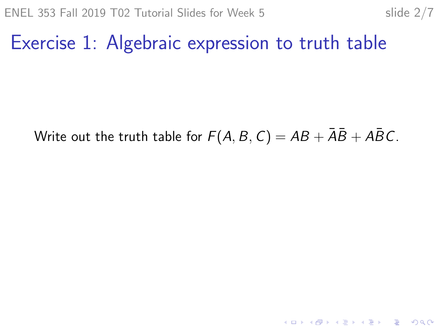## Exercise 1: Algebraic expression to truth table

#### Write out the truth table for  $F(A, B, C) = AB + \overline{AB} + \overline{AB}C$ .

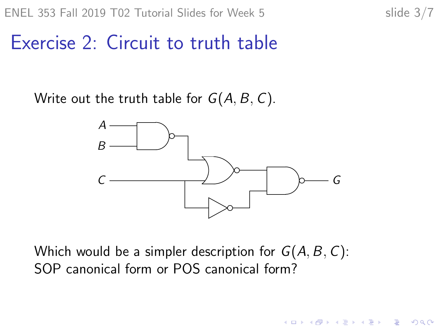**KORKARYKERKER POLO** 

### Exercise 2: Circuit to truth table

Write out the truth table for  $G(A, B, C)$ .



Which would be a simpler description for  $G(A, B, C)$ : SOP canonical form or POS canonical form?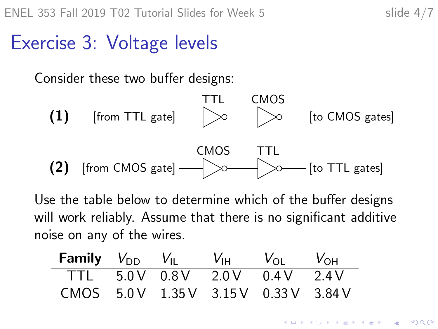**KORKARYKERKER POLO** 

## Exercise 3: Voltage levels

Consider these two buffer designs:



Use the table below to determine which of the buffer designs will work reliably. Assume that there is no significant additive noise on any of the wires.

| <b>Family</b> $V_{DD}$ $V_{IL}$ $V_{HH}$ $V_{OL}$ $V_{OH}$ |  |                              |  |
|------------------------------------------------------------|--|------------------------------|--|
|                                                            |  | TTL 5.0V 0.8V 2.0V 0.4V 2.4V |  |
| CMOS   $5.0V$ 1.35 V 3.15 V 0.33 V 3.84 V                  |  |                              |  |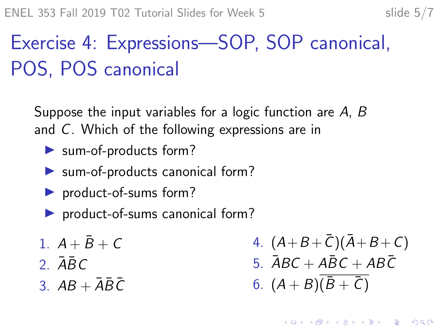# Exercise 4: Expressions—SOP, SOP canonical, POS, POS canonical

Suppose the input variables for a logic function are A, B and C. Which of the following expressions are in

- $\blacktriangleright$  sum-of-products form?
- $\blacktriangleright$  sum-of-products canonical form?
- $\blacktriangleright$  product-of-sums form?
- $\triangleright$  product-of-sums canonical form?
- 1.  $A + \bar{B} + C$
- 2.  $\bar{A}$  $\bar{B}$  $C$
- 3.  $AB + \overline{A}\overline{B}\overline{C}$

4.  $(A+B+\bar{C}) (\bar{A}+B+C)$ 5.  $\overline{ABC} + \overline{ABC} + \overline{ABC}$ 6.  $(A + B)(\bar{B} + \bar{C})$ 

**KORKARYKERKER POLO**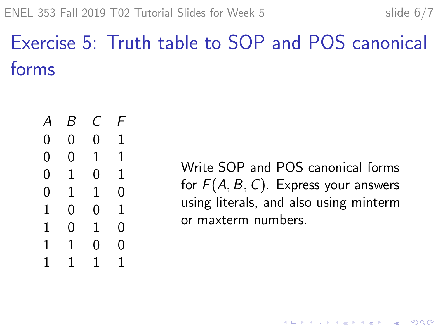# Exercise 5: Truth table to SOP and POS canonical forms



Write SOP and POS canonical forms for  $F(A, B, C)$ . Express your answers using literals, and also using minterm or maxterm numbers.

 $\mathbf{E} = \mathbf{A} \oplus \mathbf{B} + \mathbf{A} \oplus \mathbf{B} + \mathbf{A} \oplus \mathbf{B} + \mathbf{A} \oplus \mathbf{A}$ 

 $2990$